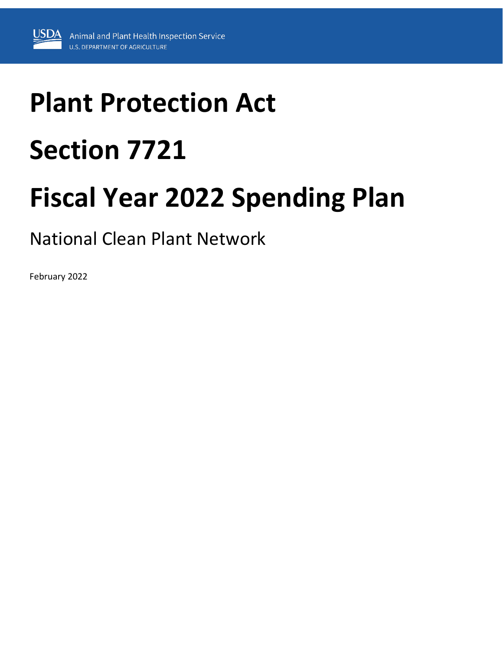# **Plant Protection Act Section 7721**

# **Fiscal Year 2022 Spending Plan**

National Clean Plant Network

February 2022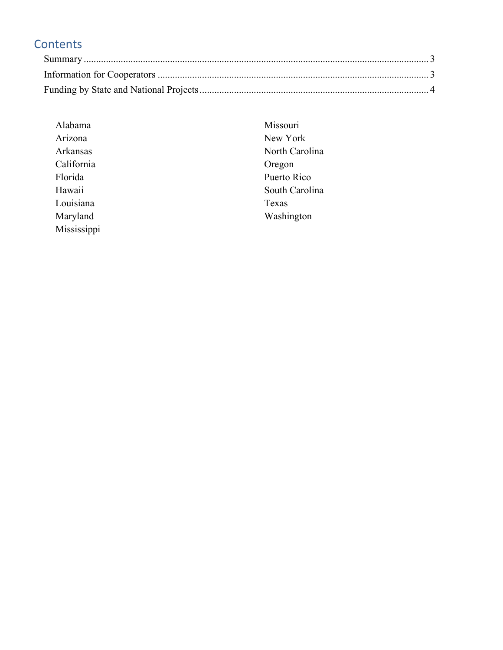# **Contents**

| Alabama     | Missouri       |
|-------------|----------------|
| Arizona     | New York       |
| Arkansas    | North Carolina |
| California  | Oregon         |
| Florida     | Puerto Rico    |
| Hawaii      | South Carolina |
| Louisiana   | Texas          |
| Maryland    | Washington     |
| Mississippi |                |
|             |                |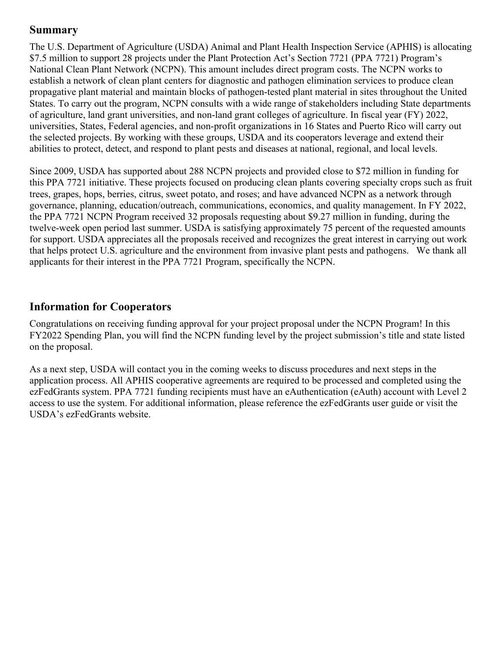# <span id="page-2-0"></span>**Summary**

The U.S. Department of Agriculture (USDA) Animal and Plant Health Inspection Service (APHIS) is allocating \$7.5 million to support 28 projects under the Plant Protection Act's Section 7721 (PPA 7721) Program's National Clean Plant Network (NCPN). This amount includes direct program costs. The NCPN works to establish a network of clean plant centers for diagnostic and pathogen elimination services to produce clean propagative plant material and maintain blocks of pathogen-tested plant material in sites throughout the United States. To carry out the program, NCPN consults with a wide range of stakeholders including State departments of agriculture, land grant universities, and non-land grant colleges of agriculture. In fiscal year (FY) 2022, universities, States, Federal agencies, and non-profit organizations in 16 States and Puerto Rico will carry out the selected projects. By working with these groups, USDA and its cooperators leverage and extend their abilities to protect, detect, and respond to plant pests and diseases at national, regional, and local levels.

Since 2009, USDA has supported about 288 NCPN projects and provided close to \$72 million in funding for this PPA 7721 initiative. These projects focused on producing clean plants covering specialty crops such as fruit trees, grapes, hops, berries, citrus, sweet potato, and roses; and have advanced NCPN as a network through governance, planning, education/outreach, communications, economics, and quality management. In FY 2022, the PPA 7721 NCPN Program received 32 proposals requesting about \$9.27 million in funding, during the twelve-week open period last summer. USDA is satisfying approximately 75 percent of the requested amounts for support. USDA appreciates all the proposals received and recognizes the great interest in carrying out work that helps protect U.S. agriculture and the environment from invasive plant pests and pathogens. We thank all applicants for their interest in the PPA 7721 Program, specifically the NCPN.

# <span id="page-2-1"></span>**Information for Cooperators**

Congratulations on receiving funding approval for your project proposal under the NCPN Program! In this FY2022 Spending Plan, you will find the NCPN funding level by the project submission's title and state listed on the proposal.

As a next step, USDA will contact you in the coming weeks to discuss procedures and next steps in the application process. All APHIS cooperative agreements are required to be processed and completed using the ezFedGrants system. PPA 7721 funding recipients must have an eAuthentication (eAuth) account with Level 2 access to use the system. For additional information, please reference the ezFedGrants user guide or visit the USDA's ezFedGrants website.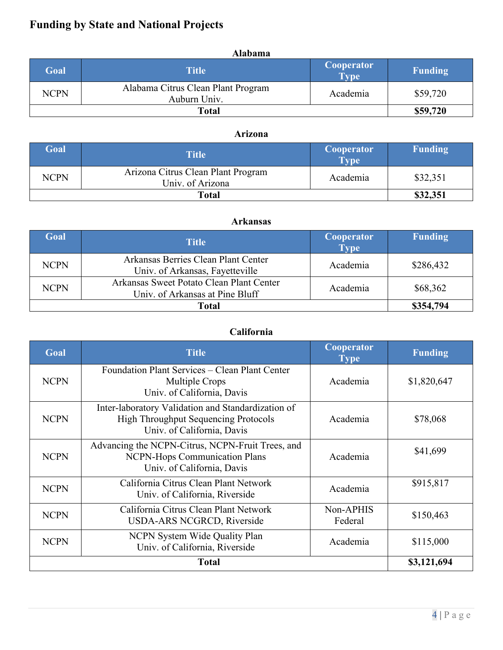# <span id="page-3-0"></span>**Funding by State and National Projects**

|             | <b>Alabama</b>                                     |                           |                |
|-------------|----------------------------------------------------|---------------------------|----------------|
| Goal        | <b>Title</b>                                       | <b>Cooperator</b><br>Type | <b>Funding</b> |
| <b>NCPN</b> | Alabama Citrus Clean Plant Program<br>Auburn Univ. | Academia                  | \$59,720       |
|             | Total                                              |                           | \$59,720       |

# **Arizona**

| Goal        | <b>Title</b>                                           | <b>Cooperator</b><br><b>Type</b> | <b>Funding</b> |
|-------------|--------------------------------------------------------|----------------------------------|----------------|
| <b>NCPN</b> | Arizona Citrus Clean Plant Program<br>Univ. of Arizona | Academia                         | \$32,351       |
|             | Total                                                  |                                  | \$32,351       |

#### **Arkansas**

| Goal        | <b>Title</b>                                                                | <b>Cooperator</b><br>Type <sup>1</sup> | Funding   |
|-------------|-----------------------------------------------------------------------------|----------------------------------------|-----------|
| <b>NCPN</b> | Arkansas Berries Clean Plant Center<br>Univ. of Arkansas, Fayetteville      | Academia                               | \$286,432 |
| <b>NCPN</b> | Arkansas Sweet Potato Clean Plant Center<br>Univ. of Arkansas at Pine Bluff | Academia                               | \$68,362  |
|             | Total                                                                       |                                        | \$354,794 |

# **California**

| Goal        | <b>Title</b>                                                                                                                    | <b>Cooperator</b><br><b>Type</b> | <b>Funding</b> |
|-------------|---------------------------------------------------------------------------------------------------------------------------------|----------------------------------|----------------|
| <b>NCPN</b> | Foundation Plant Services – Clean Plant Center<br>Multiple Crops<br>Univ. of California, Davis                                  | Academia                         | \$1,820,647    |
| <b>NCPN</b> | Inter-laboratory Validation and Standardization of<br><b>High Throughput Sequencing Protocols</b><br>Univ. of California, Davis | Academia                         | \$78,068       |
| <b>NCPN</b> | Advancing the NCPN-Citrus, NCPN-Fruit Trees, and<br>NCPN-Hops Communication Plans<br>Univ. of California, Davis                 | Academia                         | \$41,699       |
| <b>NCPN</b> | California Citrus Clean Plant Network<br>Univ. of California, Riverside                                                         | Academia                         | \$915,817      |
| <b>NCPN</b> | California Citrus Clean Plant Network<br>USDA-ARS NCGRCD, Riverside                                                             | Non-APHIS<br>Federal             | \$150,463      |
| <b>NCPN</b> | NCPN System Wide Quality Plan<br>Univ. of California, Riverside                                                                 | Academia                         | \$115,000      |
|             | <b>Total</b>                                                                                                                    |                                  | \$3,121,694    |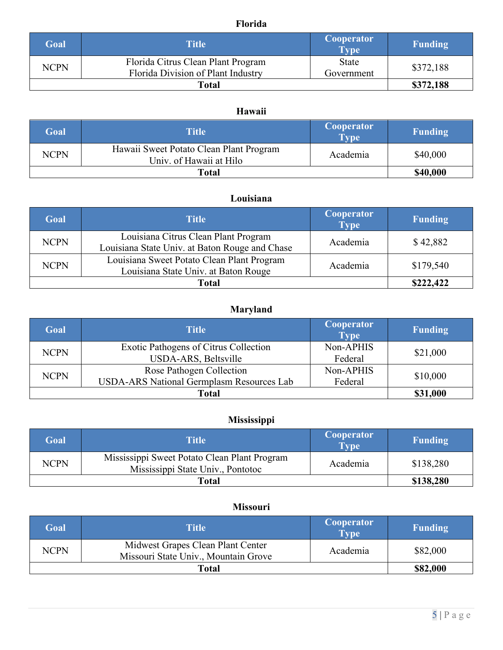# **Florida**

| Goal        | <b>Title</b>                                                             | <b>Cooperator</b><br><b>Type</b> | <b>Funding</b> |
|-------------|--------------------------------------------------------------------------|----------------------------------|----------------|
| <b>NCPN</b> | Florida Citrus Clean Plant Program<br>Florida Division of Plant Industry | <b>State</b><br>Government       | \$372,188      |
|             | Total                                                                    |                                  |                |

# **Hawaii**

| Goal        | Title                                                              | <b>Cooperator</b><br><b>Type</b> | Funding  |
|-------------|--------------------------------------------------------------------|----------------------------------|----------|
| <b>NCPN</b> | Hawaii Sweet Potato Clean Plant Program<br>Univ. of Hawaii at Hilo | Academia                         | \$40,000 |
| Total       |                                                                    |                                  | \$40,000 |

## **Louisiana**

| Goal        | <b>Title</b>                                                                           | <b>Cooperator</b><br><b>Type</b> | <b>Funding</b> |
|-------------|----------------------------------------------------------------------------------------|----------------------------------|----------------|
| <b>NCPN</b> | Louisiana Citrus Clean Plant Program<br>Louisiana State Univ. at Baton Rouge and Chase | Academia                         | \$42,882       |
| <b>NCPN</b> | Louisiana Sweet Potato Clean Plant Program<br>Louisiana State Univ. at Baton Rouge     | Academia                         | \$179,540      |
|             | Total                                                                                  |                                  | \$222,422      |

# **Maryland**

| Goal        | <b>Title</b>                                     | <b>Cooperator</b><br>$\overline{Type}$ | <b>Funding</b> |
|-------------|--------------------------------------------------|----------------------------------------|----------------|
| <b>NCPN</b> | Exotic Pathogens of Citrus Collection            | Non-APHIS                              | \$21,000       |
|             | USDA-ARS, Beltsville                             | Federal                                |                |
| <b>NCPN</b> | Rose Pathogen Collection                         | Non-APHIS                              | \$10,000       |
|             | <b>USDA-ARS National Germplasm Resources Lab</b> | Federal                                |                |
|             | Total                                            |                                        | \$31,000       |

## **Mississippi**

| Goal        | Title'                                                                            | <b>Cooperator</b><br><b>Type</b> | <b>Funding</b> |
|-------------|-----------------------------------------------------------------------------------|----------------------------------|----------------|
| <b>NCPN</b> | Mississippi Sweet Potato Clean Plant Program<br>Mississippi State Univ., Pontotoc | Academia                         | \$138,280      |
|             | Total                                                                             |                                  | \$138,280      |

#### **Missouri**

| Goal        | Title                                                                     | <b>Cooperator</b><br><b>Type</b> | <b>Funding</b> |
|-------------|---------------------------------------------------------------------------|----------------------------------|----------------|
| <b>NCPN</b> | Midwest Grapes Clean Plant Center<br>Missouri State Univ., Mountain Grove | Academia                         | \$82,000       |
|             | Total                                                                     |                                  | \$82,000       |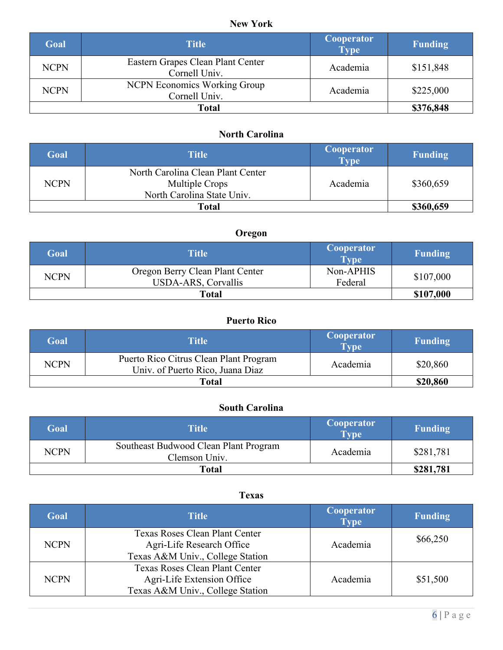# **New York**

| Goal        | Title                                                | <b>Cooperator</b><br><b>Type</b> | <b>Funding</b> |
|-------------|------------------------------------------------------|----------------------------------|----------------|
| <b>NCPN</b> | Eastern Grapes Clean Plant Center<br>Cornell Univ.   | Academia                         | \$151,848      |
| <b>NCPN</b> | <b>NCPN Economics Working Group</b><br>Cornell Univ. | Academia                         | \$225,000      |
| Total       |                                                      |                                  | \$376,848      |

# **North Carolina**

| Goal        | <b>Title</b>                                                                      | <b>Cooperator</b><br><b>Type</b> | <b>Funding</b> |
|-------------|-----------------------------------------------------------------------------------|----------------------------------|----------------|
| <b>NCPN</b> | North Carolina Clean Plant Center<br>Multiple Crops<br>North Carolina State Univ. | Academia                         | \$360,659      |
|             | Total                                                                             |                                  | \$360,659      |

# **Oregon**

| Goal        | <b>Title</b>                                                  | <b>Cooperator</b><br><b>Type</b> | <b>Funding</b> |
|-------------|---------------------------------------------------------------|----------------------------------|----------------|
| <b>NCPN</b> | Oregon Berry Clean Plant Center<br><b>USDA-ARS, Corvallis</b> | Non-APHIS<br>Federal             | \$107,000      |
| Total       |                                                               |                                  | \$107,000      |

# **Puerto Rico**

| Goal        | Title                                                                      | <b>Cooperator</b><br><b>Type</b> | <b>Funding</b> |
|-------------|----------------------------------------------------------------------------|----------------------------------|----------------|
| <b>NCPN</b> | Puerto Rico Citrus Clean Plant Program<br>Univ. of Puerto Rico, Juana Diaz | Academia                         | \$20,860       |
| Total       |                                                                            |                                  | \$20,860       |

# **South Carolina**

| Goal        | <b>Title</b>                                           | <b>Cooperator</b><br>Type | <b>Funding</b> |
|-------------|--------------------------------------------------------|---------------------------|----------------|
| <b>NCPN</b> | Southeast Budwood Clean Plant Program<br>Clemson Univ. | Academia                  | \$281,781      |
| Total       |                                                        |                           | \$281,781      |

#### **Texas**

| Goal        | <b>Title</b>                                                                                     | Cooperator<br><b>Type</b> | <b>Funding</b> |
|-------------|--------------------------------------------------------------------------------------------------|---------------------------|----------------|
| <b>NCPN</b> | Texas Roses Clean Plant Center<br>Agri-Life Research Office<br>Texas A&M Univ., College Station  | Academia                  | \$66,250       |
| <b>NCPN</b> | Texas Roses Clean Plant Center<br>Agri-Life Extension Office<br>Texas A&M Univ., College Station | Academia                  | \$51,500       |